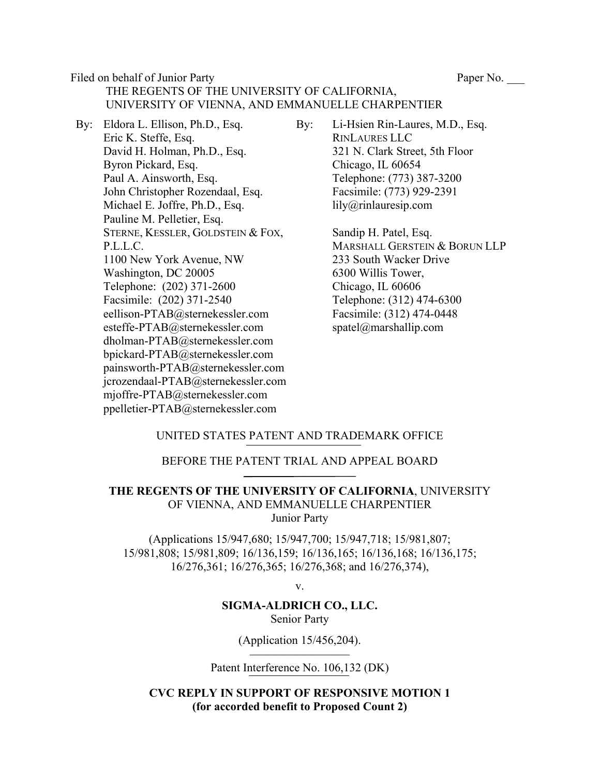Filed on behalf of Junior Party Paper No.

# THE REGENTS OF THE UNIVERSITY OF CALIFORNIA, UNIVERSITY OF VIENNA, AND EMMANUELLE CHARPENTIER

- By: Eldora L. Ellison, Ph.D., Esq. Eric K. Steffe, Esq. David H. Holman, Ph.D., Esq. Byron Pickard, Esq. Paul A. Ainsworth, Esq. John Christopher Rozendaal, Esq. Michael E. Joffre, Ph.D., Esq. Pauline M. Pelletier, Esq. STERNE, KESSLER, GOLDSTEIN & FOX, P.L.L.C. 1100 New York Avenue, NW Washington, DC 20005 Telephone: (202) 371-2600 Facsimile: (202) 371-2540 eellison-PTAB@sternekessler.com esteffe-PTAB@sternekessler.com dholman-PTAB@sternekessler.com bpickard-PTAB@sternekessler.com painsworth-PTAB@sternekessler.com jcrozendaal-PTAB@sternekessler.com mjoffre-PTAB@sternekessler.com ppelletier-PTAB@sternekessler.com
- By: Li-Hsien Rin-Laures, M.D., Esq. RINLAURES LLC 321 N. Clark Street, 5th Floor Chicago, IL 60654 Telephone: (773) 387-3200 Facsimile: (773) 929-2391 lily@rinlauresip.com

Sandip H. Patel, Esq. MARSHALL GERSTEIN & BORUN LLP 233 South Wacker Drive 6300 Willis Tower, Chicago, IL 60606 Telephone: (312) 474-6300 Facsimile: (312) 474-0448 spatel@marshallip.com

### UNITED STATES PATENT AND TRADEMARK OFFICE

#### BEFORE THE PATENT TRIAL AND APPEAL BOARD  $\mathcal{L}=\mathcal{L}^{\mathcal{L}}$  , where  $\mathcal{L}^{\mathcal{L}}$

**THE REGENTS OF THE UNIVERSITY OF CALIFORNIA**, UNIVERSITY OF VIENNA, AND EMMANUELLE CHARPENTIER Junior Party

(Applications 15/947,680; 15/947,700; 15/947,718; 15/981,807; 15/981,808; 15/981,809; 16/136,159; 16/136,165; 16/136,168; 16/136,175; 16/276,361; 16/276,365; 16/276,368; and 16/276,374),

v.

#### **SIGMA-ALDRICH CO., LLC.** Senior Party

(Application 15/456,204).  $_{\rm r}$   $_{\rm r}$   $_{\rm r}$   $_{\rm r}$   $_{\rm r}$   $_{\rm r}$   $_{\rm r}$   $_{\rm r}$   $_{\rm r}$   $_{\rm r}$   $_{\rm r}$   $_{\rm r}$   $_{\rm r}$   $_{\rm r}$   $_{\rm r}$   $_{\rm r}$   $_{\rm r}$   $_{\rm r}$   $_{\rm r}$   $_{\rm r}$   $_{\rm r}$   $_{\rm r}$   $_{\rm r}$   $_{\rm r}$   $_{\rm r}$   $_{\rm r}$   $_{\rm r}$   $_{\rm r$ 

Patent Interference No. 106,132 (DK)

**CVC REPLY IN SUPPORT OF RESPONSIVE MOTION 1 (for accorded benefit to Proposed Count 2)**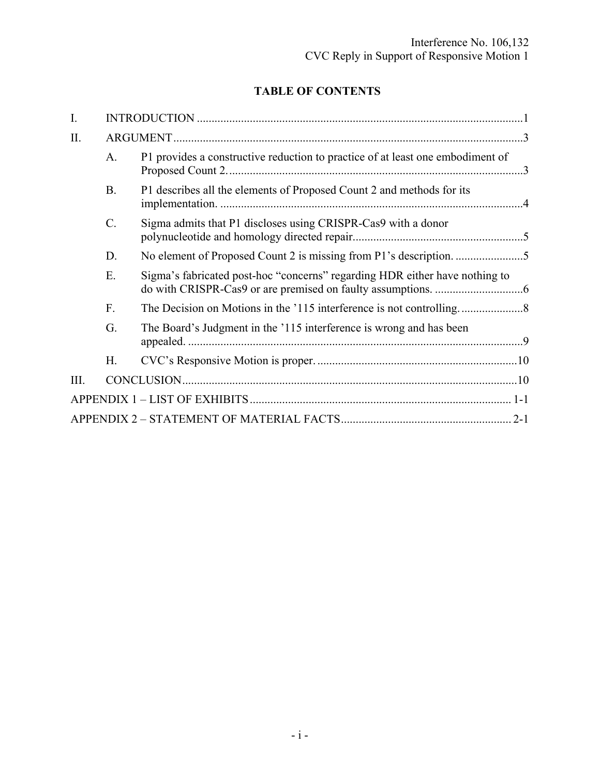## **TABLE OF CONTENTS**

| I.   |                 |                                                                                |  |  |  |  |
|------|-----------------|--------------------------------------------------------------------------------|--|--|--|--|
| II.  |                 |                                                                                |  |  |  |  |
|      | A.              | P1 provides a constructive reduction to practice of at least one embodiment of |  |  |  |  |
|      | <b>B.</b>       | P1 describes all the elements of Proposed Count 2 and methods for its          |  |  |  |  |
|      | $\mathcal{C}$ . | Sigma admits that P1 discloses using CRISPR-Cas9 with a donor                  |  |  |  |  |
|      | D.              |                                                                                |  |  |  |  |
|      | E.              | Sigma's fabricated post-hoc "concerns" regarding HDR either have nothing to    |  |  |  |  |
|      | F.              |                                                                                |  |  |  |  |
|      | G.              | The Board's Judgment in the '115 interference is wrong and has been            |  |  |  |  |
|      | H.              |                                                                                |  |  |  |  |
| III. |                 |                                                                                |  |  |  |  |
|      |                 |                                                                                |  |  |  |  |
|      |                 |                                                                                |  |  |  |  |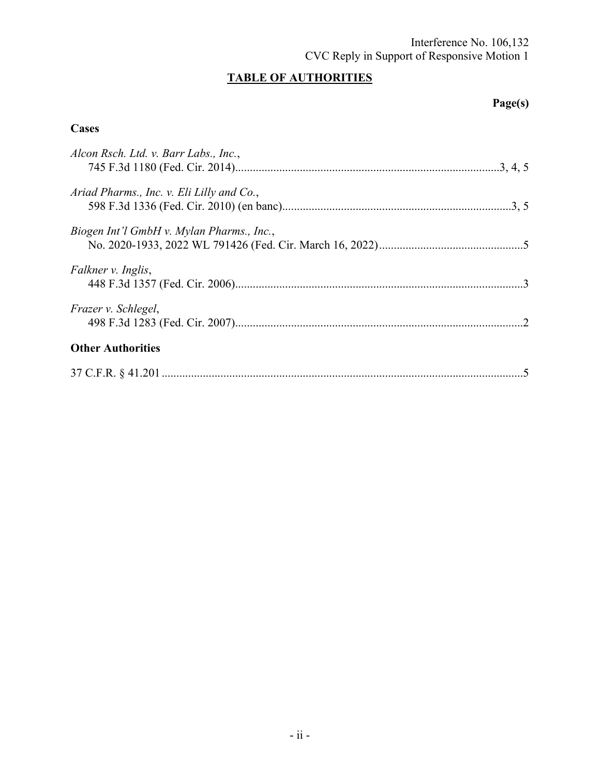#### Interference No. 106,132 CVC Reply in Support of Responsive Motion 1

## **TABLE OF AUTHORITIES**

## **Page(s)**

### **Cases**

| Alcon Rsch. Ltd. v. Barr Labs., Inc.,     |  |
|-------------------------------------------|--|
|                                           |  |
|                                           |  |
| Ariad Pharms., Inc. v. Eli Lilly and Co., |  |
|                                           |  |
| Biogen Int'l GmbH v. Mylan Pharms., Inc., |  |
|                                           |  |
|                                           |  |
| Falkner v. Inglis,                        |  |
|                                           |  |
|                                           |  |
| Frazer v. Schlegel,                       |  |
|                                           |  |
|                                           |  |
| <b>Other Authorities</b>                  |  |
|                                           |  |
|                                           |  |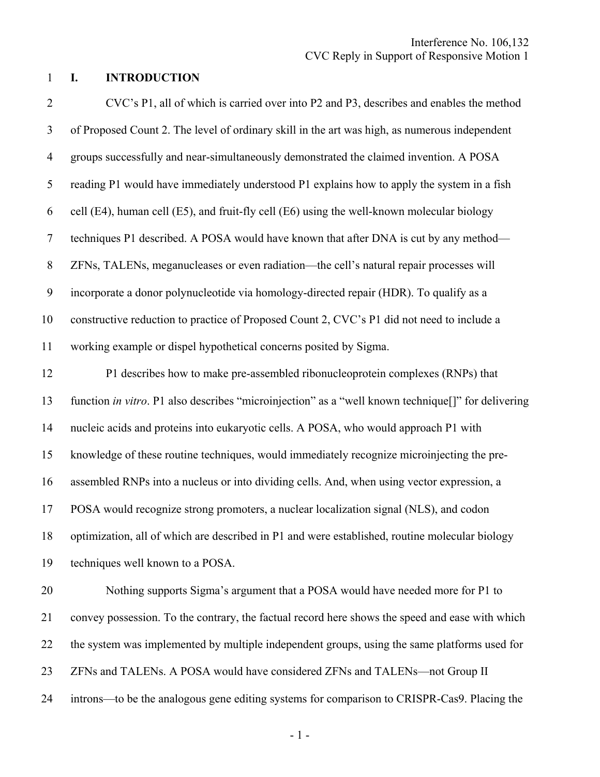#### 1 **I. INTRODUCTION**

2 CVC's P1, all of which is carried over into P2 and P3, describes and enables the method 3 of Proposed Count 2. The level of ordinary skill in the art was high, as numerous independent 4 groups successfully and near-simultaneously demonstrated the claimed invention. A POSA 5 reading P1 would have immediately understood P1 explains how to apply the system in a fish 6 cell (E4), human cell (E5), and fruit-fly cell (E6) using the well-known molecular biology 7 techniques P1 described. A POSA would have known that after DNA is cut by any method— 8 ZFNs, TALENs, meganucleases or even radiation—the cell's natural repair processes will 9 incorporate a donor polynucleotide via homology-directed repair (HDR). To qualify as a 10 constructive reduction to practice of Proposed Count 2, CVC's P1 did not need to include a 11 working example or dispel hypothetical concerns posited by Sigma. 12 P1 describes how to make pre-assembled ribonucleoprotein complexes (RNPs) that 13 function *in vitro*. P1 also describes "microinjection" as a "well known technique[]" for delivering 14 nucleic acids and proteins into eukaryotic cells. A POSA, who would approach P1 with 15 knowledge of these routine techniques, would immediately recognize microinjecting the pre-16 assembled RNPs into a nucleus or into dividing cells. And, when using vector expression, a 17 POSA would recognize strong promoters, a nuclear localization signal (NLS), and codon 18 optimization, all of which are described in P1 and were established, routine molecular biology 19 techniques well known to a POSA. 20 Nothing supports Sigma's argument that a POSA would have needed more for P1 to 21 convey possession. To the contrary, the factual record here shows the speed and ease with which 22 the system was implemented by multiple independent groups, using the same platforms used for 23 ZFNs and TALENs. A POSA would have considered ZFNs and TALENs—not Group II

24 introns—to be the analogous gene editing systems for comparison to CRISPR-Cas9. Placing the

- 1 -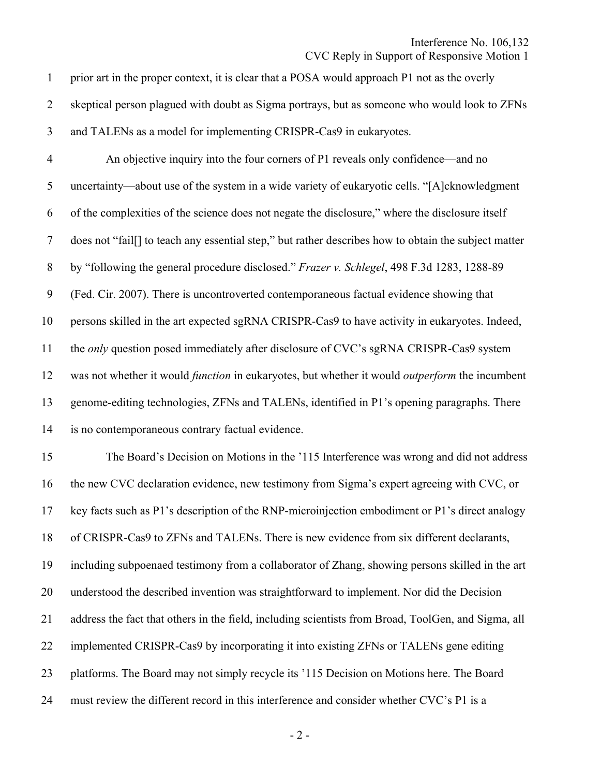Interference No. 106,132

#### CVC Reply in Support of Responsive Motion 1

1 prior art in the proper context, it is clear that a POSA would approach P1 not as the overly 2 skeptical person plagued with doubt as Sigma portrays, but as someone who would look to ZFNs 3 and TALENs as a model for implementing CRISPR-Cas9 in eukaryotes.

4 An objective inquiry into the four corners of P1 reveals only confidence—and no 5 uncertainty—about use of the system in a wide variety of eukaryotic cells. "[A]cknowledgment 6 of the complexities of the science does not negate the disclosure," where the disclosure itself 7 does not "fail[] to teach any essential step," but rather describes how to obtain the subject matter 8 by "following the general procedure disclosed." *Frazer v. Schlegel*, 498 F.3d 1283, 1288-89 9 (Fed. Cir. 2007). There is uncontroverted contemporaneous factual evidence showing that 10 persons skilled in the art expected sgRNA CRISPR-Cas9 to have activity in eukaryotes. Indeed, 11 the *only* question posed immediately after disclosure of CVC's sgRNA CRISPR-Cas9 system 12 was not whether it would *function* in eukaryotes, but whether it would *outperform* the incumbent 13 genome-editing technologies, ZFNs and TALENs, identified in P1's opening paragraphs. There 14 is no contemporaneous contrary factual evidence.

15 The Board's Decision on Motions in the '115 Interference was wrong and did not address 16 the new CVC declaration evidence, new testimony from Sigma's expert agreeing with CVC, or 17 key facts such as P1's description of the RNP-microinjection embodiment or P1's direct analogy 18 of CRISPR-Cas9 to ZFNs and TALENs. There is new evidence from six different declarants, 19 including subpoenaed testimony from a collaborator of Zhang, showing persons skilled in the art 20 understood the described invention was straightforward to implement. Nor did the Decision 21 address the fact that others in the field, including scientists from Broad, ToolGen, and Sigma, all 22 implemented CRISPR-Cas9 by incorporating it into existing ZFNs or TALENs gene editing 23 platforms. The Board may not simply recycle its '115 Decision on Motions here. The Board 24 must review the different record in this interference and consider whether CVC's P1 is a

 $-2-$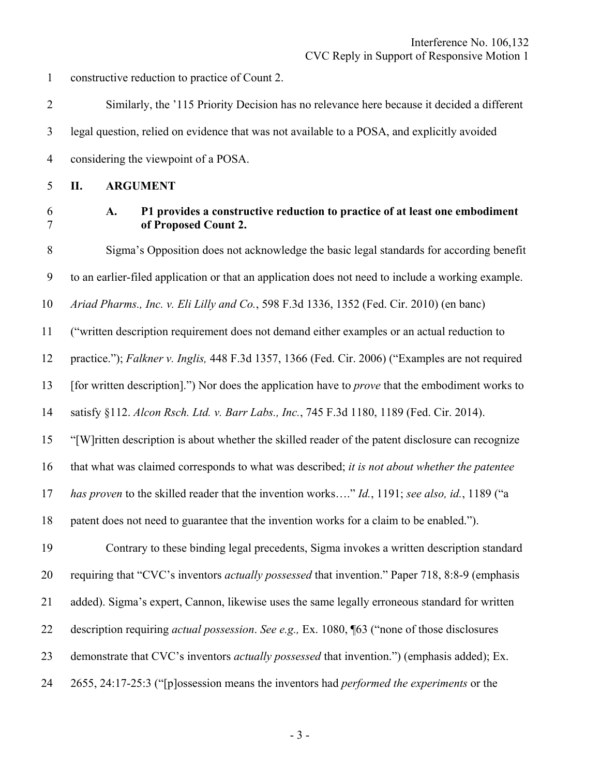1 constructive reduction to practice of Count 2.

2 Similarly, the '115 Priority Decision has no relevance here because it decided a different 3 legal question, relied on evidence that was not available to a POSA, and explicitly avoided 4 considering the viewpoint of a POSA.

5 **II. ARGUMENT** 

#### 6 **A. P1 provides a constructive reduction to practice of at least one embodiment**  7 **of Proposed Count 2.**

8 Sigma's Opposition does not acknowledge the basic legal standards for according benefit 9 to an earlier-filed application or that an application does not need to include a working example. 10 *Ariad Pharms., Inc. v. Eli Lilly and Co.*, 598 F.3d 1336, 1352 (Fed. Cir. 2010) (en banc) 11 ("written description requirement does not demand either examples or an actual reduction to 12 practice."); *Falkner v. Inglis,* 448 F.3d 1357, 1366 (Fed. Cir. 2006) ("Examples are not required 13 [for written description].") Nor does the application have to *prove* that the embodiment works to 14 satisfy §112. *Alcon Rsch. Ltd. v. Barr Labs., Inc.*, 745 F.3d 1180, 1189 (Fed. Cir. 2014). 15 "[W]ritten description is about whether the skilled reader of the patent disclosure can recognize 16 that what was claimed corresponds to what was described; *it is not about whether the patentee*  17 *has proven* to the skilled reader that the invention works…." *Id.*, 1191; *see also, id.*, 1189 ("a 18 patent does not need to guarantee that the invention works for a claim to be enabled."). 19 Contrary to these binding legal precedents, Sigma invokes a written description standard 20 requiring that "CVC's inventors *actually possessed* that invention." Paper 718, 8:8-9 (emphasis 21 added). Sigma's expert, Cannon, likewise uses the same legally erroneous standard for written 22 description requiring *actual possession*. *See e.g.,* Ex. 1080, ¶63 ("none of those disclosures 23 demonstrate that CVC's inventors *actually possessed* that invention.") (emphasis added); Ex. 24 2655, 24:17-25:3 ("[p]ossession means the inventors had *performed the experiments* or the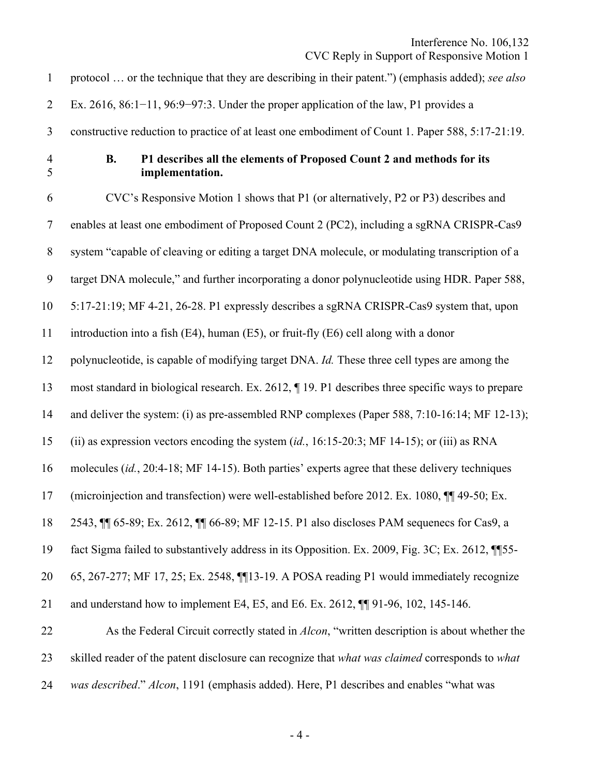1 protocol … or the technique that they are describing in their patent.") (emphasis added); *see also*  2 Ex. 2616, 86:1−11, 96:9−97:3. Under the proper application of the law, P1 provides a 3 constructive reduction to practice of at least one embodiment of Count 1. Paper 588, 5:17-21:19. 4 **B. P1 describes all the elements of Proposed Count 2 and methods for its**  5 **implementation.**  6 CVC's Responsive Motion 1 shows that P1 (or alternatively, P2 or P3) describes and 7 enables at least one embodiment of Proposed Count 2 (PC2), including a sgRNA CRISPR-Cas9 8 system "capable of cleaving or editing a target DNA molecule, or modulating transcription of a 9 target DNA molecule," and further incorporating a donor polynucleotide using HDR. Paper 588, 10 5:17-21:19; MF 4-21, 26-28. P1 expressly describes a sgRNA CRISPR-Cas9 system that, upon 11 introduction into a fish (E4), human (E5), or fruit-fly (E6) cell along with a donor 12 polynucleotide, is capable of modifying target DNA. *Id.* These three cell types are among the 13 most standard in biological research. Ex. 2612, ¶ 19. P1 describes three specific ways to prepare 14 and deliver the system: (i) as pre-assembled RNP complexes (Paper 588, 7:10-16:14; MF 12-13); 15 (ii) as expression vectors encoding the system (*id.*, 16:15-20:3; MF 14-15); or (iii) as RNA 16 molecules (*id.*, 20:4-18; MF 14-15). Both parties' experts agree that these delivery techniques 17 (microinjection and transfection) were well-established before 2012. Ex. 1080, ¶¶ 49-50; Ex. 18 2543, ¶¶ 65-89; Ex. 2612, ¶¶ 66-89; MF 12-15. P1 also discloses PAM sequenecs for Cas9, a 19 fact Sigma failed to substantively address in its Opposition. Ex. 2009, Fig. 3C; Ex. 2612, ¶¶55- 20 65, 267-277; MF 17, 25; Ex. 2548, ¶¶13-19. A POSA reading P1 would immediately recognize 21 and understand how to implement E4, E5, and E6. Ex. 2612, ¶¶ 91-96, 102, 145-146. 22 As the Federal Circuit correctly stated in *Alcon*, "written description is about whether the 23 skilled reader of the patent disclosure can recognize that *what was claimed* corresponds to *what*  24 *was described*." *Alcon*, 1191 (emphasis added). Here, P1 describes and enables "what was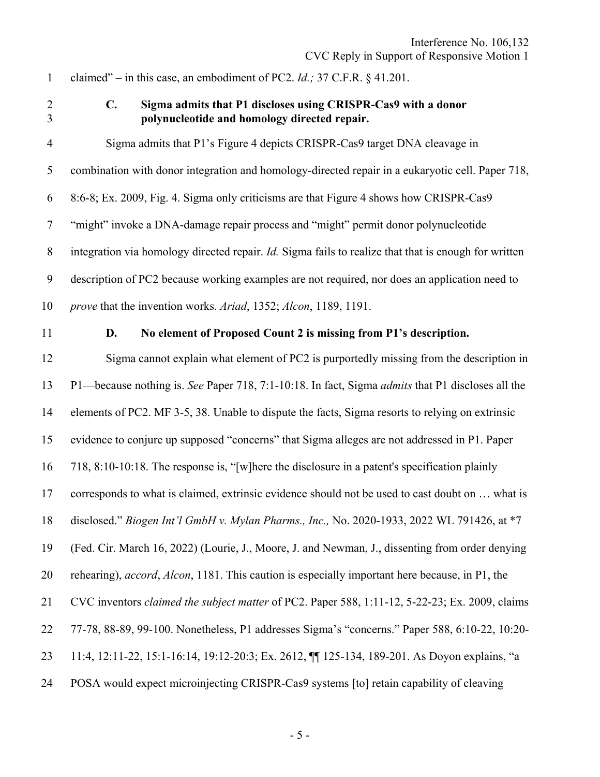1 claimed" – in this case, an embodiment of PC2. *Id.;* 37 C.F.R. § 41.201.

#### 2 **C. Sigma admits that P1 discloses using CRISPR-Cas9 with a donor**  3 **polynucleotide and homology directed repair.**

4 Sigma admits that P1's Figure 4 depicts CRISPR-Cas9 target DNA cleavage in 5 combination with donor integration and homology-directed repair in a eukaryotic cell. Paper 718, 6 8:6-8; Ex. 2009, Fig. 4. Sigma only criticisms are that Figure 4 shows how CRISPR-Cas9 7 "might" invoke a DNA-damage repair process and "might" permit donor polynucleotide 8 integration via homology directed repair. *Id.* Sigma fails to realize that that is enough for written 9 description of PC2 because working examples are not required, nor does an application need to 10 *prove* that the invention works. *Ariad*, 1352; *Alcon*, 1189, 1191.

#### 11 **D. No element of Proposed Count 2 is missing from P1's description.**

12 Sigma cannot explain what element of PC2 is purportedly missing from the description in 13 P1—because nothing is. *See* Paper 718, 7:1-10:18. In fact, Sigma *admits* that P1 discloses all the 14 elements of PC2. MF 3-5, 38. Unable to dispute the facts, Sigma resorts to relying on extrinsic 15 evidence to conjure up supposed "concerns" that Sigma alleges are not addressed in P1. Paper 16 718, 8:10-10:18. The response is, "[w]here the disclosure in a patent's specification plainly 17 corresponds to what is claimed, extrinsic evidence should not be used to cast doubt on ... what is 18 disclosed." *Biogen Int'l GmbH v. Mylan Pharms., Inc.,* No. 2020-1933, 2022 WL 791426, at \*7 19 (Fed. Cir. March 16, 2022) (Lourie, J., Moore, J. and Newman, J., dissenting from order denying 20 rehearing), *accord*, *Alcon*, 1181. This caution is especially important here because, in P1, the 21 CVC inventors *claimed the subject matter* of PC2. Paper 588, 1:11-12, 5-22-23; Ex. 2009, claims 22 77-78, 88-89, 99-100. Nonetheless, P1 addresses Sigma's "concerns." Paper 588, 6:10-22, 10:20- 23 11:4, 12:11-22, 15:1-16:14, 19:12-20:3; Ex. 2612, ¶¶ 125-134, 189-201. As Doyon explains, "a 24 POSA would expect microinjecting CRISPR-Cas9 systems [to] retain capability of cleaving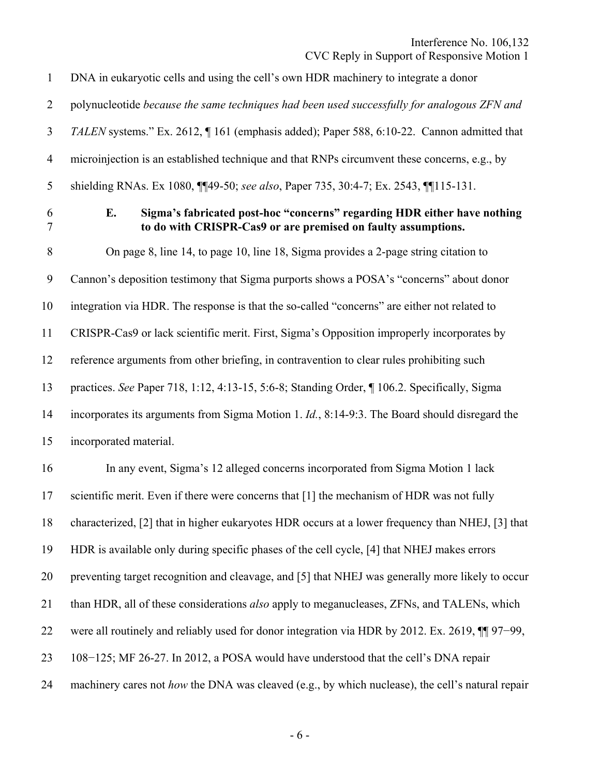1 DNA in eukaryotic cells and using the cell's own HDR machinery to integrate a donor 2 polynucleotide *because the same techniques had been used successfully for analogous ZFN and*  3 *TALEN* systems." Ex. 2612, ¶ 161 (emphasis added); Paper 588, 6:10-22. Cannon admitted that 4 microinjection is an established technique and that RNPs circumvent these concerns, e.g., by 5 shielding RNAs. Ex 1080, ¶¶49-50; *see also*, Paper 735, 30:4-7; Ex. 2543, ¶¶115-131. 6 **E. Sigma's fabricated post-hoc "concerns" regarding HDR either have nothing**  7 **to do with CRISPR-Cas9 or are premised on faulty assumptions.**  8 On page 8, line 14, to page 10, line 18, Sigma provides a 2-page string citation to 9 Cannon's deposition testimony that Sigma purports shows a POSA's "concerns" about donor 10 integration via HDR. The response is that the so-called "concerns" are either not related to 11 CRISPR-Cas9 or lack scientific merit. First, Sigma's Opposition improperly incorporates by 12 reference arguments from other briefing, in contravention to clear rules prohibiting such 13 practices. *See* Paper 718, 1:12, 4:13-15, 5:6-8; Standing Order, ¶ 106.2. Specifically, Sigma 14 incorporates its arguments from Sigma Motion 1. *Id.*, 8:14-9:3. The Board should disregard the 15 incorporated material. 16 In any event, Sigma's 12 alleged concerns incorporated from Sigma Motion 1 lack 17 scientific merit. Even if there were concerns that [1] the mechanism of HDR was not fully 18 characterized, [2] that in higher eukaryotes HDR occurs at a lower frequency than NHEJ, [3] that 19 HDR is available only during specific phases of the cell cycle, [4] that NHEJ makes errors 20 preventing target recognition and cleavage, and [5] that NHEJ was generally more likely to occur 21 than HDR, all of these considerations *also* apply to meganucleases, ZFNs, and TALENs, which 22 were all routinely and reliably used for donor integration via HDR by 2012. Ex. 2619, ¶¶ 97−99, 23 108−125; MF 26-27. In 2012, a POSA would have understood that the cell's DNA repair 24 machinery cares not *how* the DNA was cleaved (e.g., by which nuclease), the cell's natural repair

 $-6-$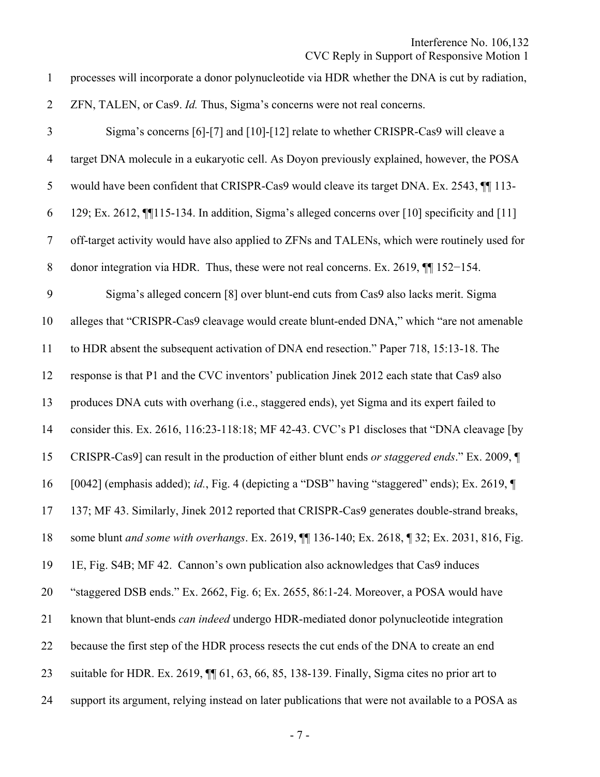### CVC Reply in Support of Responsive Motion 1

1 processes will incorporate a donor polynucleotide via HDR whether the DNA is cut by radiation, 2 ZFN, TALEN, or Cas9. *Id.* Thus, Sigma's concerns were not real concerns. 3 Sigma's concerns [6]-[7] and [10]-[12] relate to whether CRISPR-Cas9 will cleave a 4 target DNA molecule in a eukaryotic cell. As Doyon previously explained, however, the POSA 5 would have been confident that CRISPR-Cas9 would cleave its target DNA. Ex. 2543,  $\P$  113-6 129; Ex. 2612, ¶¶115-134. In addition, Sigma's alleged concerns over [10] specificity and [11]

7 off-target activity would have also applied to ZFNs and TALENs, which were routinely used for

8 donor integration via HDR. Thus, these were not real concerns. Ex. 2619, ¶¶ 152−154.

9 Sigma's alleged concern [8] over blunt-end cuts from Cas9 also lacks merit. Sigma

10 alleges that "CRISPR-Cas9 cleavage would create blunt-ended DNA," which "are not amenable

11 to HDR absent the subsequent activation of DNA end resection." Paper 718, 15:13-18. The

12 response is that P1 and the CVC inventors' publication Jinek 2012 each state that Cas9 also

13 produces DNA cuts with overhang (i.e., staggered ends), yet Sigma and its expert failed to

14 consider this. Ex. 2616, 116:23-118:18; MF 42-43. CVC's P1 discloses that "DNA cleavage [by

15 CRISPR-Cas9] can result in the production of either blunt ends *or staggered ends*." Ex. 2009, ¶

16 [0042] (emphasis added); *id.*, Fig. 4 (depicting a "DSB" having "staggered" ends); Ex. 2619, ¶

17 137; MF 43. Similarly, Jinek 2012 reported that CRISPR-Cas9 generates double-strand breaks,

18 some blunt *and some with overhangs*. Ex. 2619, ¶¶ 136-140; Ex. 2618, ¶ 32; Ex. 2031, 816, Fig.

19 1E, Fig. S4B; MF 42. Cannon's own publication also acknowledges that Cas9 induces

20 "staggered DSB ends." Ex. 2662, Fig. 6; Ex. 2655, 86:1-24. Moreover, a POSA would have

21 known that blunt-ends *can indeed* undergo HDR-mediated donor polynucleotide integration

22 because the first step of the HDR process resects the cut ends of the DNA to create an end

- 23 suitable for HDR. Ex. 2619, ¶¶ 61, 63, 66, 85, 138-139. Finally, Sigma cites no prior art to
- 24 support its argument, relying instead on later publications that were not available to a POSA as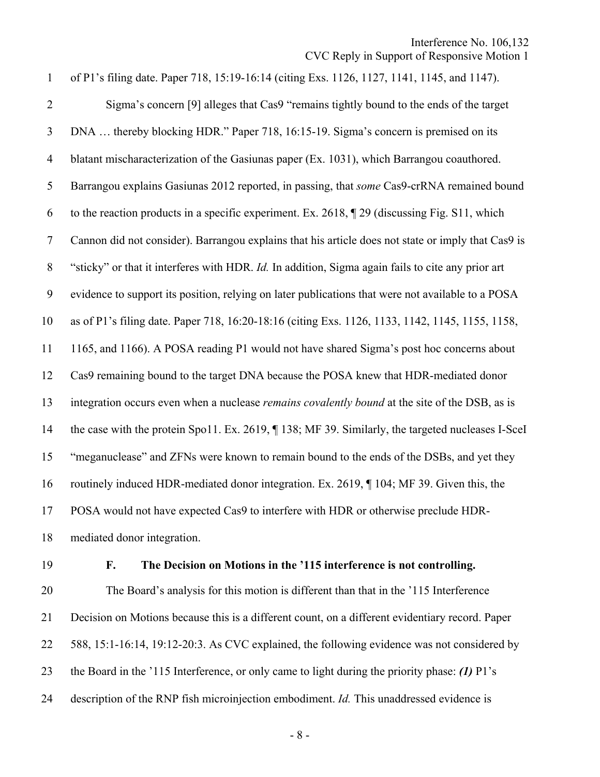1 of P1's filing date. Paper 718, 15:19-16:14 (citing Exs. 1126, 1127, 1141, 1145, and 1147). 2 Sigma's concern [9] alleges that Cas9 "remains tightly bound to the ends of the target 3 DNA … thereby blocking HDR." Paper 718, 16:15-19. Sigma's concern is premised on its 4 blatant mischaracterization of the Gasiunas paper (Ex. 1031), which Barrangou coauthored. 5 Barrangou explains Gasiunas 2012 reported, in passing, that *some* Cas9-crRNA remained bound 6 to the reaction products in a specific experiment. Ex. 2618, ¶ 29 (discussing Fig. S11, which 7 Cannon did not consider). Barrangou explains that his article does not state or imply that Cas9 is 8 "sticky" or that it interferes with HDR. *Id.* In addition, Sigma again fails to cite any prior art 9 evidence to support its position, relying on later publications that were not available to a POSA 10 as of P1's filing date. Paper 718, 16:20-18:16 (citing Exs. 1126, 1133, 1142, 1145, 1155, 1158, 11 1165, and 1166). A POSA reading P1 would not have shared Sigma's post hoc concerns about 12 Cas9 remaining bound to the target DNA because the POSA knew that HDR-mediated donor 13 integration occurs even when a nuclease *remains covalently bound* at the site of the DSB, as is 14 the case with the protein Spo11. Ex. 2619,  $\P$  138; MF 39. Similarly, the targeted nucleases I-SceI 15 "meganuclease" and ZFNs were known to remain bound to the ends of the DSBs, and yet they 16 routinely induced HDR-mediated donor integration. Ex. 2619, ¶ 104; MF 39. Given this, the 17 POSA would not have expected Cas9 to interfere with HDR or otherwise preclude HDR-18 mediated donor integration.

#### 19 **F. The Decision on Motions in the '115 interference is not controlling.**

20 The Board's analysis for this motion is different than that in the '115 Interference 21 Decision on Motions because this is a different count, on a different evidentiary record. Paper 22 588, 15:1-16:14, 19:12-20:3. As CVC explained, the following evidence was not considered by 23 the Board in the '115 Interference, or only came to light during the priority phase: *(1)* P1's 24 description of the RNP fish microinjection embodiment. *Id.* This unaddressed evidence is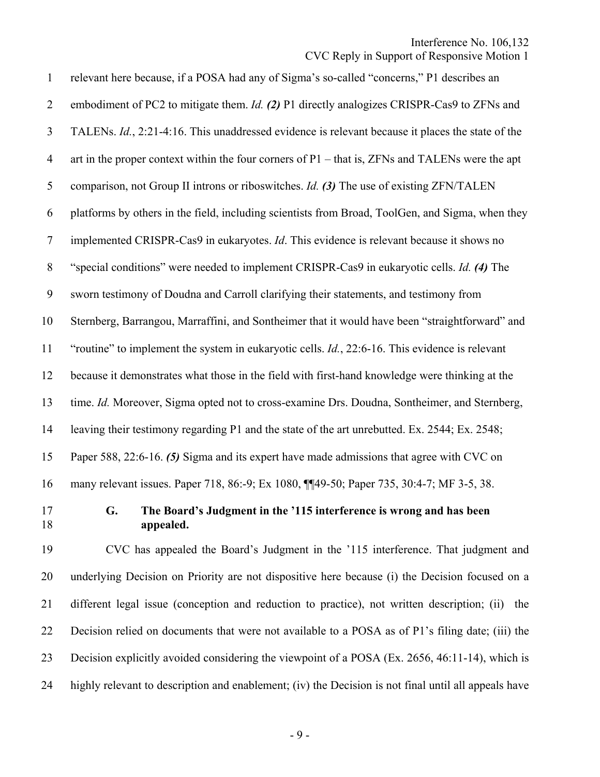#### CVC Reply in Support of Responsive Motion 1

1 relevant here because, if a POSA had any of Sigma's so-called "concerns," P1 describes an 2 embodiment of PC2 to mitigate them. *Id. (2)* P1 directly analogizes CRISPR-Cas9 to ZFNs and 3 TALENs. *Id.*, 2:21-4:16. This unaddressed evidence is relevant because it places the state of the 4 art in the proper context within the four corners of P1 – that is, ZFNs and TALENs were the apt 5 comparison, not Group II introns or riboswitches. *Id. (3)* The use of existing ZFN/TALEN 6 platforms by others in the field, including scientists from Broad, ToolGen, and Sigma, when they 7 implemented CRISPR-Cas9 in eukaryotes. *Id*. This evidence is relevant because it shows no 8 "special conditions" were needed to implement CRISPR-Cas9 in eukaryotic cells. *Id. (4)* The 9 sworn testimony of Doudna and Carroll clarifying their statements, and testimony from 10 Sternberg, Barrangou, Marraffini, and Sontheimer that it would have been "straightforward" and 11 "routine" to implement the system in eukaryotic cells. *Id.*, 22:6-16. This evidence is relevant 12 because it demonstrates what those in the field with first-hand knowledge were thinking at the 13 time. *Id.* Moreover, Sigma opted not to cross-examine Drs. Doudna, Sontheimer, and Sternberg, 14 leaving their testimony regarding P1 and the state of the art unrebutted. Ex. 2544; Ex. 2548; 15 Paper 588, 22:6-16. *(5)* Sigma and its expert have made admissions that agree with CVC on 16 many relevant issues. Paper 718, 86:-9; Ex 1080, ¶¶49-50; Paper 735, 30:4-7; MF 3-5, 38. 17 **G. The Board's Judgment in the '115 interference is wrong and has been**  18 **appealed.**  19 CVC has appealed the Board's Judgment in the '115 interference. That judgment and 20 underlying Decision on Priority are not dispositive here because (i) the Decision focused on a 21 different legal issue (conception and reduction to practice), not written description; (ii) the

23 Decision explicitly avoided considering the viewpoint of a POSA (Ex. 2656, 46:11-14), which is

22 Decision relied on documents that were not available to a POSA as of P1's filing date; (iii) the

24 highly relevant to description and enablement; (iv) the Decision is not final until all appeals have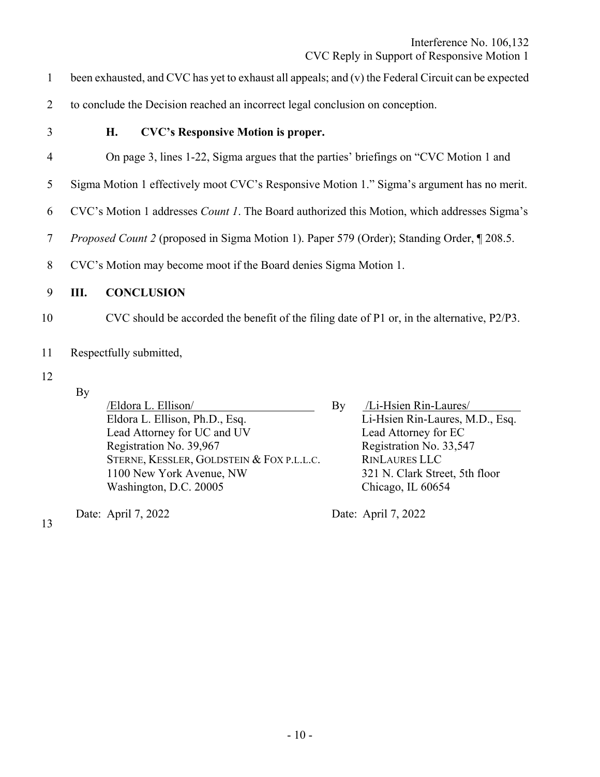- 1 been exhausted, and CVC has yet to exhaust all appeals; and (v) the Federal Circuit can be expected
- 2 to conclude the Decision reached an incorrect legal conclusion on conception.
- 

## 3 **H. CVC's Responsive Motion is proper.**

- 4 On page 3, lines 1-22, Sigma argues that the parties' briefings on "CVC Motion 1 and
- 5 Sigma Motion 1 effectively moot CVC's Responsive Motion 1." Sigma's argument has no merit.
- 6 CVC's Motion 1 addresses *Count 1*. The Board authorized this Motion, which addresses Sigma's
- 7 *Proposed Count 2* (proposed in Sigma Motion 1). Paper 579 (Order); Standing Order, ¶ 208.5.
- 8 CVC's Motion may become moot if the Board denies Sigma Motion 1.

## 9 **III. CONCLUSION**

- 10 CVC should be accorded the benefit of the filing date of P1 or, in the alternative, P2/P3.
- 11 Respectfully submitted,
- 12
- By

| /Eldora L. Ellison/                       | By | /Li-Hsien Rin-Laures/           |
|-------------------------------------------|----|---------------------------------|
| Eldora L. Ellison, Ph.D., Esq.            |    | Li-Hsien Rin-Laures, M.D., Esq. |
| Lead Attorney for UC and UV               |    | Lead Attorney for EC            |
| Registration No. 39,967                   |    | Registration No. 33,547         |
| STERNE, KESSLER, GOLDSTEIN & FOX P.L.L.C. |    | <b>RINLAURES LLC</b>            |
| 1100 New York Avenue, NW                  |    | 321 N. Clark Street, 5th floor  |
| Washington, D.C. 20005                    |    | Chicago, IL 60654               |
|                                           |    |                                 |

Date: April 7, 2022 Date: April 7, 2022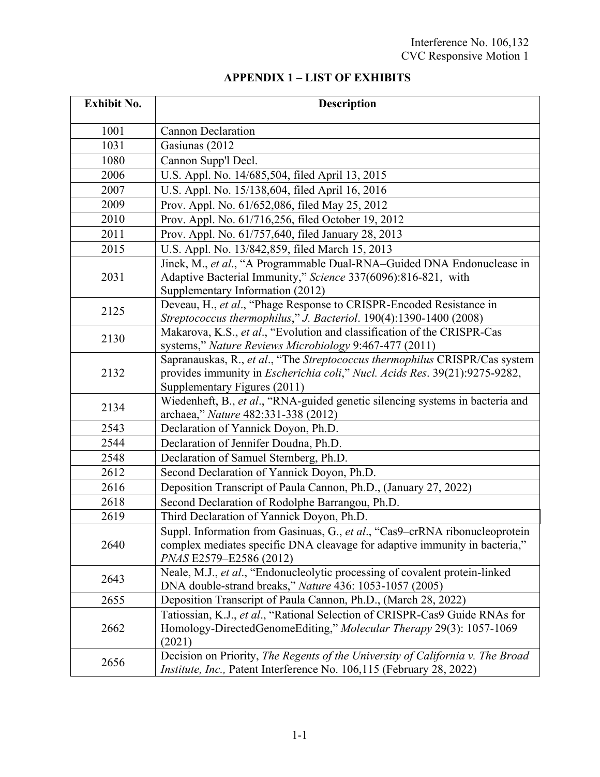## **APPENDIX 1 – LIST OF EXHIBITS**

| <b>Exhibit No.</b> | <b>Description</b>                                                                                                                                                                                |
|--------------------|---------------------------------------------------------------------------------------------------------------------------------------------------------------------------------------------------|
| 1001               | <b>Cannon Declaration</b>                                                                                                                                                                         |
| 1031               | Gasiunas (2012                                                                                                                                                                                    |
| 1080               | Cannon Supp'l Decl.                                                                                                                                                                               |
| 2006               | U.S. Appl. No. 14/685,504, filed April 13, 2015                                                                                                                                                   |
| 2007               | U.S. Appl. No. 15/138,604, filed April 16, 2016                                                                                                                                                   |
| 2009               | Prov. Appl. No. 61/652,086, filed May 25, 2012                                                                                                                                                    |
| 2010               | Prov. Appl. No. 61/716,256, filed October 19, 2012                                                                                                                                                |
| 2011               | Prov. Appl. No. 61/757,640, filed January 28, 2013                                                                                                                                                |
| 2015               | U.S. Appl. No. 13/842,859, filed March 15, 2013                                                                                                                                                   |
| 2031               | Jinek, M., et al., "A Programmable Dual-RNA-Guided DNA Endonuclease in<br>Adaptive Bacterial Immunity," Science 337(6096):816-821, with<br>Supplementary Information (2012)                       |
| 2125               | Deveau, H., et al., "Phage Response to CRISPR-Encoded Resistance in<br>Streptococcus thermophilus," J. Bacteriol. 190(4):1390-1400 (2008)                                                         |
| 2130               | Makarova, K.S., et al., "Evolution and classification of the CRISPR-Cas<br>systems," Nature Reviews Microbiology 9:467-477 (2011)                                                                 |
| 2132               | Sapranauskas, R., et al., "The Streptococcus thermophilus CRISPR/Cas system<br>provides immunity in <i>Escherichia coli</i> ," Nucl. Acids Res. 39(21):9275-9282,<br>Supplementary Figures (2011) |
| 2134               | Wiedenheft, B., et al., "RNA-guided genetic silencing systems in bacteria and<br>archaea," Nature 482:331-338 (2012)                                                                              |
| 2543               | Declaration of Yannick Doyon, Ph.D.                                                                                                                                                               |
| 2544               | Declaration of Jennifer Doudna, Ph.D.                                                                                                                                                             |
| 2548               | Declaration of Samuel Sternberg, Ph.D.                                                                                                                                                            |
| 2612               | Second Declaration of Yannick Doyon, Ph.D.                                                                                                                                                        |
| 2616               | Deposition Transcript of Paula Cannon, Ph.D., (January 27, 2022)                                                                                                                                  |
| 2618               | Second Declaration of Rodolphe Barrangou, Ph.D.                                                                                                                                                   |
| 2619               | Third Declaration of Yannick Doyon, Ph.D.                                                                                                                                                         |
| 2640               | Suppl. Information from Gasinuas, G., et al., "Cas9-crRNA ribonucleoprotein<br>complex mediates specific DNA cleavage for adaptive immunity in bacteria,"<br>PNAS E2579-E2586 (2012)              |
| 2643               | Neale, M.J., et al., "Endonucleolytic processing of covalent protein-linked<br>DNA double-strand breaks," Nature 436: 1053-1057 (2005)                                                            |
| 2655               | Deposition Transcript of Paula Cannon, Ph.D., (March 28, 2022)                                                                                                                                    |
| 2662               | Tatiossian, K.J., et al., "Rational Selection of CRISPR-Cas9 Guide RNAs for<br>Homology-DirectedGenomeEditing," Molecular Therapy 29(3): 1057-1069<br>(2021)                                      |
| 2656               | Decision on Priority, The Regents of the University of California v. The Broad<br>Institute, Inc., Patent Interference No. 106,115 (February 28, 2022)                                            |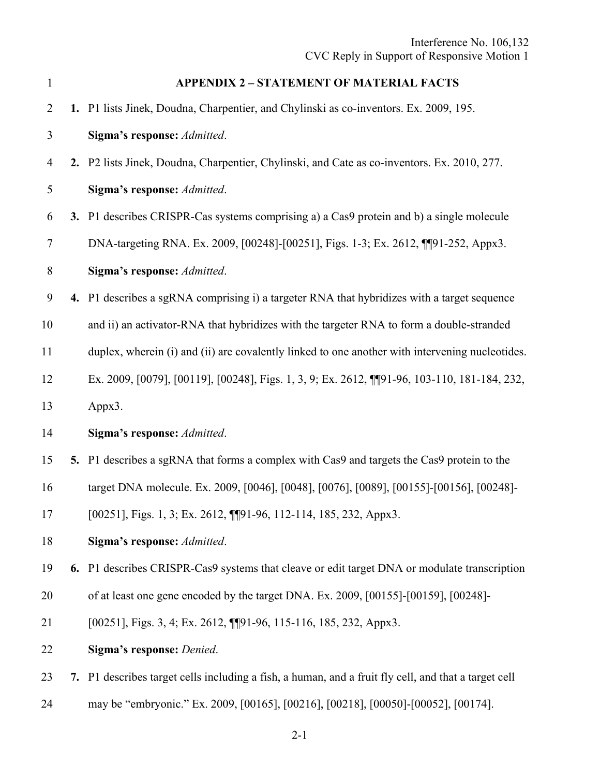| $\mathbf{1}$   | <b>APPENDIX 2 - STATEMENT OF MATERIAL FACTS</b>                                                      |
|----------------|------------------------------------------------------------------------------------------------------|
| $\overline{2}$ | 1. P1 lists Jinek, Doudna, Charpentier, and Chylinski as co-inventors. Ex. 2009, 195.                |
| 3              | Sigma's response: Admitted.                                                                          |
| 4              | 2. P2 lists Jinek, Doudna, Charpentier, Chylinski, and Cate as co-inventors. Ex. 2010, 277.          |
| 5              | Sigma's response: Admitted.                                                                          |
| 6              | 3. P1 describes CRISPR-Cas systems comprising a) a Cas9 protein and b) a single molecule             |
| 7              | DNA-targeting RNA. Ex. 2009, [00248]-[00251], Figs. 1-3; Ex. 2612, ¶[91-252, Appx3.                  |
| 8              | Sigma's response: Admitted.                                                                          |
| 9              | 4. P1 describes a sgRNA comprising i) a targeter RNA that hybridizes with a target sequence          |
| 10             | and ii) an activator-RNA that hybridizes with the targeter RNA to form a double-stranded             |
| 11             | duplex, wherein (i) and (ii) are covalently linked to one another with intervening nucleotides.      |
| 12             | Ex. 2009, [0079], [00119], [00248], Figs. 1, 3, 9; Ex. 2612, [[[91-96, 103-110, 181-184, 232,        |
| 13             | Appx3.                                                                                               |
| 14             | Sigma's response: Admitted.                                                                          |
| 15             | 5. P1 describes a sgRNA that forms a complex with Cas9 and targets the Cas9 protein to the           |
| 16             | target DNA molecule. Ex. 2009, [0046], [0048], [0076], [0089], [00155]-[00156], [00248]-             |
| 17             | [00251], Figs. 1, 3; Ex. 2612, [[91-96, 112-114, 185, 232, Appx3.                                    |
| 18             | Sigma's response: Admitted.                                                                          |
| 19             | 6. P1 describes CRISPR-Cas9 systems that cleave or edit target DNA or modulate transcription         |
| 20             | of at least one gene encoded by the target DNA. Ex. 2009, [00155]-[00159], [00248]-                  |
| 21             | [00251], Figs. 3, 4; Ex. 2612, [[91-96, 115-116, 185, 232, Appx3.                                    |
| 22             | Sigma's response: Denied.                                                                            |
| 23             | 7. P1 describes target cells including a fish, a human, and a fruit fly cell, and that a target cell |
| 24             | may be "embryonic." Ex. 2009, [00165], [00216], [00218], [00050]-[00052], [00174].                   |

2-1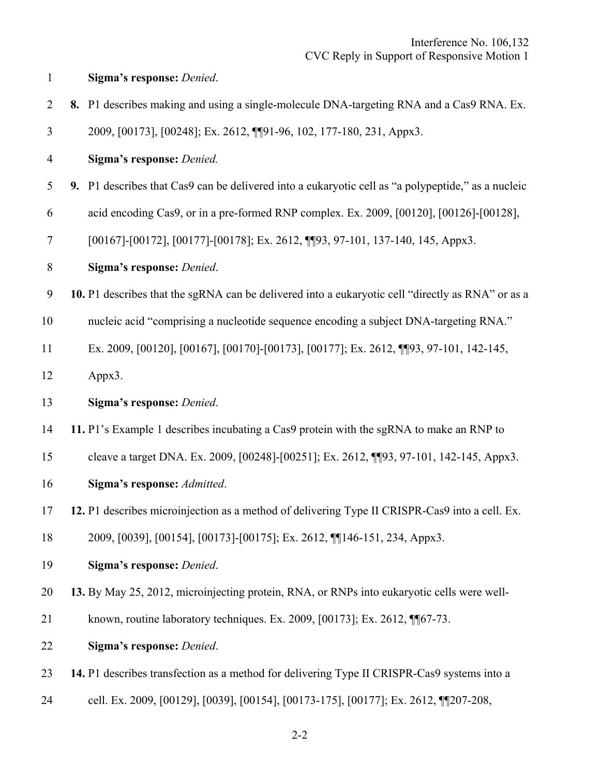| $\overline{2}$ | 8. P1 describes making and using a single-molecule DNA-targeting RNA and a Cas9 RNA. Ex.           |
|----------------|----------------------------------------------------------------------------------------------------|
| 3              | 2009, [00173], [00248]; Ex. 2612, [[91-96, 102, 177-180, 231, Appx3.                               |
| 4              | Sigma's response: Denied.                                                                          |
| 5              | 9. P1 describes that Cas9 can be delivered into a eukaryotic cell as "a polypeptide," as a nucleic |
| 6              | acid encoding Cas9, or in a pre-formed RNP complex. Ex. 2009, [00120], [00126]-[00128],            |
| 7              | [00167]-[00172], [00177]-[00178]; Ex. 2612, [[93, 97-101, 137-140, 145, Appx3.                     |
| $8\,$          | Sigma's response: Denied.                                                                          |
| 9              | 10. P1 describes that the sgRNA can be delivered into a eukaryotic cell "directly as RNA" or as a  |
| 10             | nucleic acid "comprising a nucleotide sequence encoding a subject DNA-targeting RNA."              |
| 11             | Ex. 2009, [00120], [00167], [00170]-[00173], [00177]; Ex. 2612, [[93, 97-101, 142-145,             |
| 12             | Appx3.                                                                                             |
| 13             | Sigma's response: Denied.                                                                          |
| 14             | 11. P1's Example 1 describes incubating a Cas9 protein with the sgRNA to make an RNP to            |
| 15             | cleave a target DNA. Ex. 2009, [00248]-[00251]; Ex. 2612, [[93, 97-101, 142-145, Appx3.            |
| 16             | Sigma's response: Admitted.                                                                        |
| 17             | 12. P1 describes microinjection as a method of delivering Type II CRISPR-Cas9 into a cell. Ex.     |
| 18             | 2009, [0039], [00154], [00173]-[00175]; Ex. 2612, [[146-151, 234, Appx3.                           |
| 19             | Sigma's response: Denied.                                                                          |
| 20             | 13. By May 25, 2012, microinjecting protein, RNA, or RNPs into eukaryotic cells were well-         |
| 21             | known, routine laboratory techniques. Ex. 2009, [00173]; Ex. 2612, ¶ [67-73.                       |
| 22             | Sigma's response: Denied.                                                                          |
| 23             | 14. P1 describes transfection as a method for delivering Type II CRISPR-Cas9 systems into a        |
| 24             | cell. Ex. 2009, [00129], [0039], [00154], [00173-175], [00177]; Ex. 2612, [[207-208,               |

1 **Sigma's response:** *Denied*.

2-2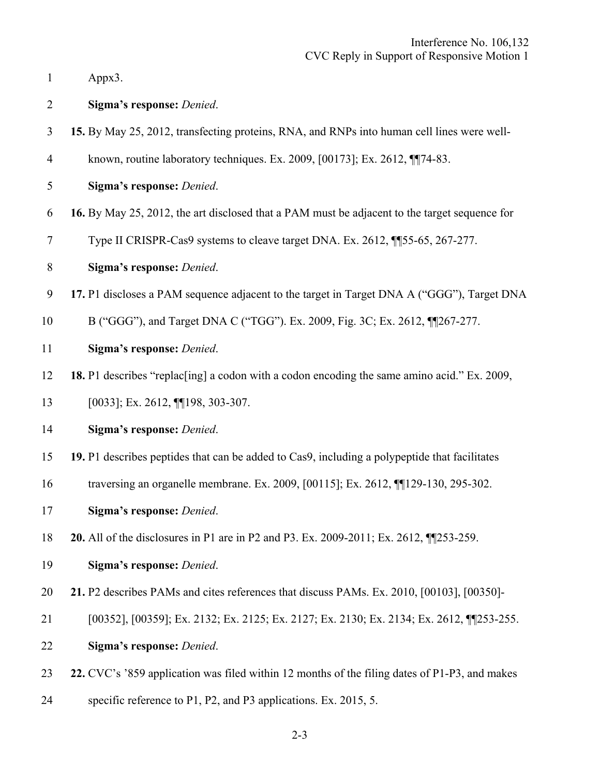|  | Appx3. |
|--|--------|
|--|--------|

2 **Sigma's response:** *Denied*.

- 3 **15.** By May 25, 2012, transfecting proteins, RNA, and RNPs into human cell lines were well-
- 4 known, routine laboratory techniques. Ex. 2009, [00173]; Ex. 2612, ¶¶74-83.
- 5 **Sigma's response:** *Denied*.
- 6 **16.** By May 25, 2012, the art disclosed that a PAM must be adjacent to the target sequence for
- 7 Type II CRISPR-Cas9 systems to cleave target DNA. Ex. 2612, ¶¶55-65, 267-277.
- 8 **Sigma's response:** *Denied*.
- 9 **17.** P1 discloses a PAM sequence adjacent to the target in Target DNA A ("GGG"), Target DNA
- 10 B ("GGG"), and Target DNA C ("TGG"). Ex. 2009, Fig. 3C; Ex. 2612, ¶¶267-277.
- 11 **Sigma's response:** *Denied*.

12 **18.** P1 describes "replac[ing] a codon with a codon encoding the same amino acid." Ex. 2009,

- 13 [0033]; Ex. 2612, ¶¶198, 303-307.
- 14 **Sigma's response:** *Denied*.
- 15 **19.** P1 describes peptides that can be added to Cas9, including a polypeptide that facilitates
- 16 traversing an organelle membrane. Ex. 2009, [00115]; Ex. 2612, ¶¶129-130, 295-302.
- 17 **Sigma's response:** *Denied*.
- 18 **20.** All of the disclosures in P1 are in P2 and P3. Ex. 2009-2011; Ex. 2612, ¶¶253-259.
- 19 **Sigma's response:** *Denied*.
- 20 **21.** P2 describes PAMs and cites references that discuss PAMs. Ex. 2010, [00103], [00350]-
- 21 [00352], [00359]; Ex. 2132; Ex. 2125; Ex. 2127; Ex. 2130; Ex. 2134; Ex. 2612, ¶¶253-255.
- 22 **Sigma's response:** *Denied*.
- 23 **22.** CVC's '859 application was filed within 12 months of the filing dates of P1-P3, and makes
- 24 specific reference to P1, P2, and P3 applications. Ex. 2015, 5.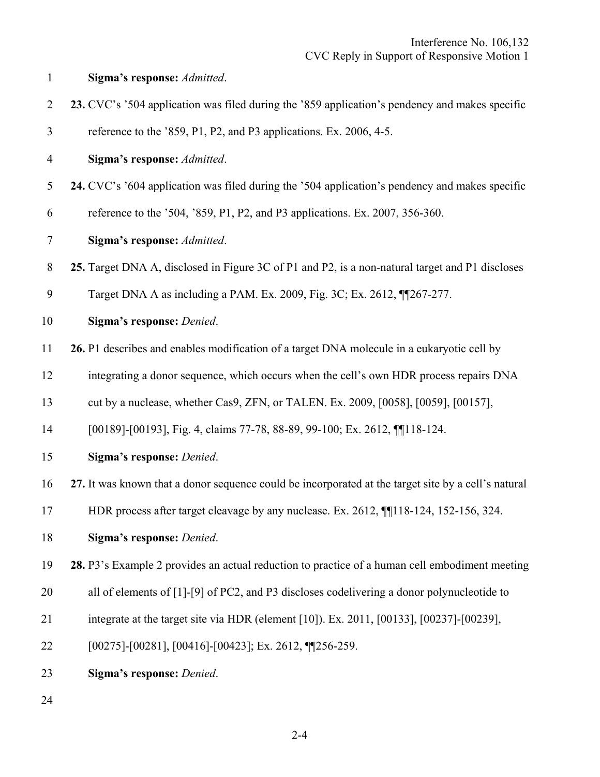| $\mathbf{1}$   | Sigma's response: Admitted.                                                                         |
|----------------|-----------------------------------------------------------------------------------------------------|
| $\overline{2}$ | 23. CVC's '504 application was filed during the '859 application's pendency and makes specific      |
| 3              | reference to the '859, P1, P2, and P3 applications. Ex. 2006, 4-5.                                  |
| $\overline{4}$ | Sigma's response: Admitted.                                                                         |
| 5              | 24. CVC's '604 application was filed during the '504 application's pendency and makes specific      |
| 6              | reference to the '504, '859, P1, P2, and P3 applications. Ex. 2007, 356-360.                        |
| $\tau$         | Sigma's response: Admitted.                                                                         |
| 8              | 25. Target DNA A, disclosed in Figure 3C of P1 and P2, is a non-natural target and P1 discloses     |
| 9              | Target DNA A as including a PAM. Ex. 2009, Fig. 3C; Ex. 2612, ¶[267-277.                            |
| 10             | Sigma's response: Denied.                                                                           |
| 11             | 26. P1 describes and enables modification of a target DNA molecule in a eukaryotic cell by          |
| 12             | integrating a donor sequence, which occurs when the cell's own HDR process repairs DNA              |
| 13             | cut by a nuclease, whether Cas9, ZFN, or TALEN. Ex. 2009, [0058], [0059], [00157],                  |
| 14             | [00189]-[00193], Fig. 4, claims 77-78, 88-89, 99-100; Ex. 2612, [[118-124.]                         |
| 15             | Sigma's response: Denied.                                                                           |
| 16             | 27. It was known that a donor sequence could be incorporated at the target site by a cell's natural |
| 17             | HDR process after target cleavage by any nuclease. Ex. 2612, [118-124, 152-156, 324.                |
| 18             | Sigma's response: Denied.                                                                           |
| 19             | 28. P3's Example 2 provides an actual reduction to practice of a human cell embodiment meeting      |
| 20             | all of elements of [1]-[9] of PC2, and P3 discloses codelivering a donor polynucleotide to          |
| 21             | integrate at the target site via HDR (element [10]). Ex. 2011, [00133], [00237]-[00239],            |
| 22             | $[00275]$ - $[00281]$ , $[00416]$ - $[00423]$ ; Ex. 2612, $\P$ $[256-259]$ .                        |
| 23             | Sigma's response: Denied.                                                                           |

24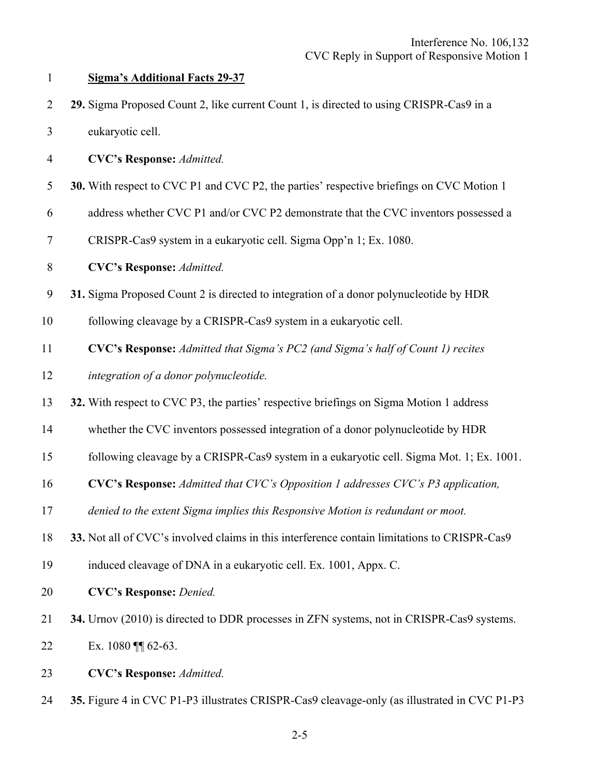|  |  | 29. Sigma Proposed Count 2, like current Count 1, is directed to using CRISPR-Cas9 in a |  |  |  |  |
|--|--|-----------------------------------------------------------------------------------------|--|--|--|--|
|  |  |                                                                                         |  |  |  |  |

- 3 eukaryotic cell.
- 4 **CVC's Response:** *Admitted.*
- 5 **30.** With respect to CVC P1 and CVC P2, the parties' respective briefings on CVC Motion 1
- 6 address whether CVC P1 and/or CVC P2 demonstrate that the CVC inventors possessed a
- 7 CRISPR-Cas9 system in a eukaryotic cell. Sigma Opp'n 1; Ex. 1080.
- 8 **CVC's Response:** *Admitted.*
- 9 **31.** Sigma Proposed Count 2 is directed to integration of a donor polynucleotide by HDR
- 10 following cleavage by a CRISPR-Cas9 system in a eukaryotic cell.
- 11 **CVC's Response:** *Admitted that Sigma's PC2 (and Sigma's half of Count 1) recites*
- 12 *integration of a donor polynucleotide.*
- 13 **32.** With respect to CVC P3, the parties' respective briefings on Sigma Motion 1 address
- 14 whether the CVC inventors possessed integration of a donor polynucleotide by HDR
- 15 following cleavage by a CRISPR-Cas9 system in a eukaryotic cell. Sigma Mot. 1; Ex. 1001.
- 16 **CVC's Response:** *Admitted that CVC's Opposition 1 addresses CVC's P3 application,*
- 17 *denied to the extent Sigma implies this Responsive Motion is redundant or moot.*
- 18 **33.** Not all of CVC's involved claims in this interference contain limitations to CRISPR-Cas9
- 19 induced cleavage of DNA in a eukaryotic cell. Ex. 1001, Appx. C.
- 20 **CVC's Response:** *Denied.*
- 21 **34.** Urnov (2010) is directed to DDR processes in ZFN systems, not in CRISPR-Cas9 systems.
- 22 Ex. 1080 ¶ 62-63.
- 23 **CVC's Response:** *Admitted.*
- 24 **35.** Figure 4 in CVC P1-P3 illustrates CRISPR-Cas9 cleavage-only (as illustrated in CVC P1-P3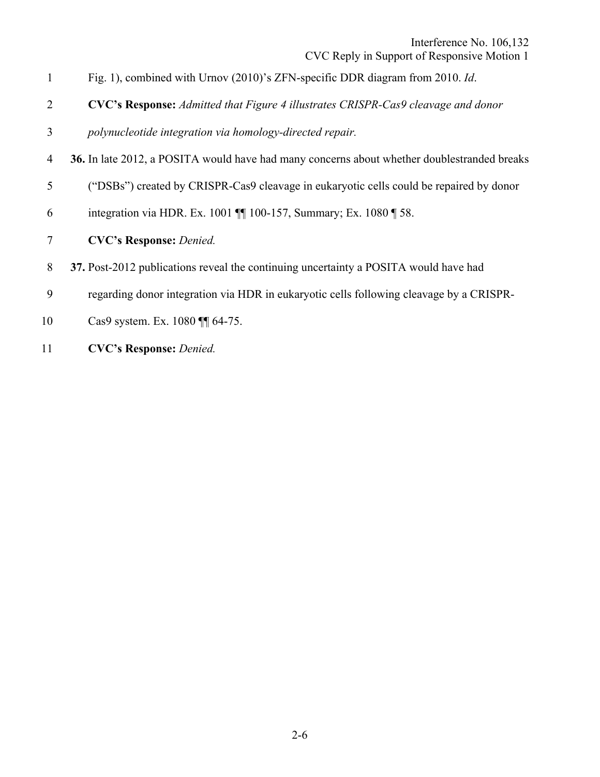- 1 Fig. 1), combined with Urnov (2010)'s ZFN-specific DDR diagram from 2010. *Id*.
- 2 **CVC's Response:** *Admitted that Figure 4 illustrates CRISPR-Cas9 cleavage and donor*
- 3 *polynucleotide integration via homology-directed repair.*
- 4 **36.** In late 2012, a POSITA would have had many concerns about whether doublestranded breaks
- 5 ("DSBs") created by CRISPR-Cas9 cleavage in eukaryotic cells could be repaired by donor
- 6 integration via HDR. Ex. 1001 ¶¶ 100-157, Summary; Ex. 1080 ¶ 58.
- 7 **CVC's Response:** *Denied.*
- 8 **37.** Post-2012 publications reveal the continuing uncertainty a POSITA would have had
- 9 regarding donor integration via HDR in eukaryotic cells following cleavage by a CRISPR-
- 10 Cas9 system. Ex. 1080 ¶ 64-75.
- 11 **CVC's Response:** Denied.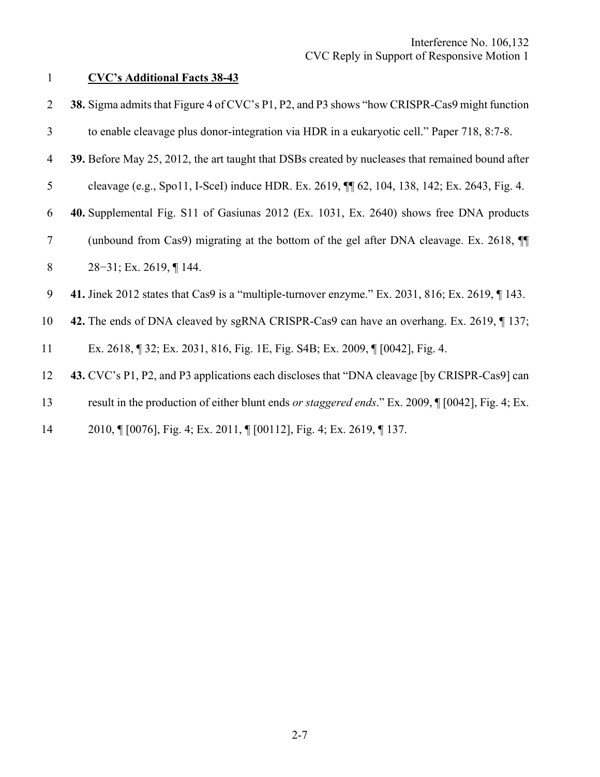## 1 **CVC's Additional Facts 38-43**

| 2      | 38. Sigma admits that Figure 4 of CVC's P1, P2, and P3 shows "how CRISPR-Cas9 might function        |
|--------|-----------------------------------------------------------------------------------------------------|
| 3      | to enable cleavage plus donor-integration via HDR in a eukaryotic cell." Paper 718, 8:7-8.          |
| 4      | 39. Before May 25, 2012, the art taught that DSBs created by nucleases that remained bound after    |
| 5      | cleavage (e.g., Spo11, I-SceI) induce HDR. Ex. 2619, $\P$ 62, 104, 138, 142; Ex. 2643, Fig. 4.      |
| 6      | 40. Supplemental Fig. S11 of Gasiunas 2012 (Ex. 1031, Ex. 2640) shows free DNA products             |
| $\tau$ | (unbound from Cas9) migrating at the bottom of the gel after DNA cleavage. Ex. 2618, $\P$           |
| 8      | $28-31$ ; Ex. 2619, ¶ 144.                                                                          |
| 9      | 41. Jinek 2012 states that Cas9 is a "multiple-turnover enzyme." Ex. 2031, 816; Ex. 2619, $\P$ 143. |
| 10     | 42. The ends of DNA cleaved by sgRNA CRISPR-Cas9 can have an overhang. Ex. 2619, 137;               |
| 11     | Ex. 2618, 132; Ex. 2031, 816, Fig. 1E, Fig. S4B; Ex. 2009, 11 [0042], Fig. 4.                       |
| 12     | 43. CVC's P1, P2, and P3 applications each discloses that "DNA cleavage [by CRISPR-Cas9] can        |
| 13     | result in the production of either blunt ends or staggered ends." Ex. 2009, [[0042], Fig. 4; Ex.    |
| 14     | 2010, [10076], Fig. 4; Ex. 2011, [100112], Fig. 4; Ex. 2619, [137.                                  |
|        |                                                                                                     |